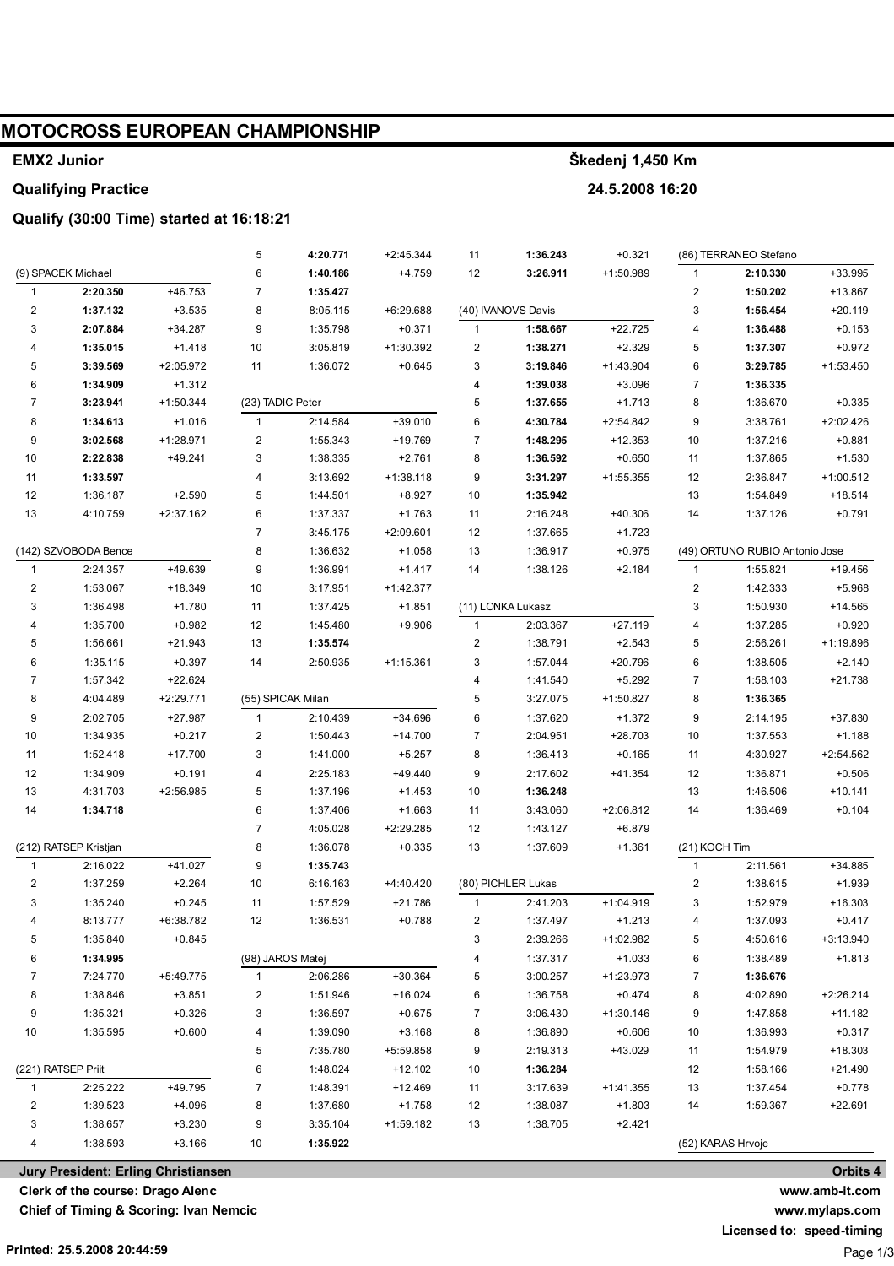## **MOTOCROSS EUROPEAN CHAMPIONSHIP**

### **EMX2 Junior**

#### **Qualifying Practice**

### **Qualify (30:00 Time) started at 16:18:21**

|                                |                       |                       | 5                       | 4:20.771          | $+2:45.344$ | 11           | 1:36.243             | $+0.321$    |                                | (86) TERRANEO Stefano |             |
|--------------------------------|-----------------------|-----------------------|-------------------------|-------------------|-------------|--------------|----------------------|-------------|--------------------------------|-----------------------|-------------|
|                                | (9) SPACEK Michael    |                       | 6                       | 1:40.186          | $+4.759$    | 12           | 3:26.911             | +1:50.989   | 1                              | 2:10.330              | +33.995     |
| $\mathbf{1}$                   | 2:20.350              | +46.753               | $\overline{7}$          | 1:35.427          |             |              |                      |             | $\sqrt{2}$                     | 1:50.202              | +13.867     |
| $\overline{\mathbf{c}}$        | 1:37.132              | $+3.535$              | 8                       | 8:05.115          | +6:29.688   |              | (40) IVANOVS Davis   |             | 3                              | 1:56.454              | $+20.119$   |
| 3                              | 2:07.884              | $+34.287$             | 9                       | 1:35.798          | $+0.371$    | $\mathbf{1}$ | 1:58.667             | $+22.725$   | 4                              | 1:36.488              | $+0.153$    |
| $\overline{4}$                 | 1:35.015              | $+1.418$              | 10                      | 3:05.819          | +1:30.392   | 2            | 1:38.271             | $+2.329$    | 5                              | 1:37.307              | $+0.972$    |
| 5                              | 3:39.569              | +2:05.972             | 11                      | 1:36.072          | $+0.645$    | 3            | 3:19.846             | $+1:43.904$ | 6                              | 3:29.785              | $+1:53.450$ |
| 6                              | 1:34.909              | $+1.312$              |                         |                   |             | 4            | 1:39.038             | $+3.096$    | $\overline{7}$                 | 1:36.335              |             |
| $\overline{7}$                 | 3:23.941              | $+1:50.344$           | (23) TADIC Peter        |                   |             | 5            | 1:37.655             | $+1.713$    | 8                              | 1:36.670              | $+0.335$    |
| 8                              | 1:34.613              | $+1.016$              | $\mathbf{1}$            | 2:14.584          | $+39.010$   | 6            | 4:30.784             | $+2:54.842$ | 9                              | 3:38.761              | +2:02.426   |
| 9                              | 3:02.568              | +1:28.971             | $\overline{\mathbf{c}}$ | 1:55.343          | +19.769     | 7            | 1:48.295             | $+12.353$   | 10                             | 1:37.216              | $+0.881$    |
| 10                             | 2:22.838              | $+49.241$             | 3                       | 1:38.335          | $+2.761$    | 8            | 1:36.592             | $+0.650$    | 11                             | 1:37.865              | $+1.530$    |
| 11                             | 1:33.597              |                       | 4                       | 3:13.692          | $+1:38.118$ | 9            | 3:31.297             | +1:55.355   | 12                             | 2:36.847              | +1:00.512   |
| 12                             | 1:36.187              | $+2.590$              | 5                       | 1:44.501          | $+8.927$    | 10           | 1:35.942             |             | 13                             | 1:54.849              | $+18.514$   |
| 13                             | 4:10.759              | +2:37.162             | 6                       | 1:37.337          | $+1.763$    | 11           | 2:16.248             | $+40.306$   | 14                             | 1:37.126              | $+0.791$    |
|                                |                       |                       | $\overline{7}$          | 3:45.175          | $+2:09.601$ | 12           | 1:37.665             | $+1.723$    |                                |                       |             |
| (142) SZVOBODA Bence           |                       | 8                     | 1:36.632                | $+1.058$          | 13          | 1:36.917     | $+0.975$             |             | (49) ORTUNO RUBIO Antonio Jose |                       |             |
| $\mathbf{1}$                   | 2:24.357              | +49.639               | 9                       | 1:36.991          | $+1.417$    | 14           | 1:38.126             | $+2.184$    | $\mathbf{1}$                   | 1:55.821              | $+19.456$   |
| $\overline{c}$                 | 1:53.067              | +18.349               | 10                      | 3:17.951          | +1:42.377   |              |                      |             | $\sqrt{2}$                     | 1:42.333              | $+5.968$    |
| 3                              | 1:36.498              | $+1.780$              | 11                      | 1:37.425          | $+1.851$    |              | (11) LONKA Lukasz    |             | 3                              | 1:50.930              | $+14.565$   |
| 4                              | 1:35.700              | $+0.982$              | 12                      | 1:45.480          | $+9.906$    | 1            | 2:03.367             | $+27.119$   | 4                              | 1:37.285              | $+0.920$    |
| 5                              | 1:56.661              | $+21.943$             | 13                      | 1:35.574          |             | 2            | 1:38.791             | $+2.543$    | 5                              | 2:56.261              | +1:19.896   |
| 6                              | 1:35.115              | $+0.397$              | 14                      | 2:50.935          | $+1:15.361$ | 3            | 1:57.044             | $+20.796$   | 6                              | 1:38.505              | $+2.140$    |
| 7                              | 1:57.342              | $+22.624$             |                         |                   |             | 4            | 1:41.540             | $+5.292$    | $\overline{7}$                 | 1:58.103              | $+21.738$   |
| 8                              | 4:04.489              | +2:29.771             |                         | (55) SPICAK Milan |             | 5            | 3:27.075             | +1:50.827   | 8                              | 1:36.365              |             |
| 9                              | 2:02.705              | $+27.987$             | $\mathbf{1}$            | 2:10.439          | +34.696     | 6            | 1:37.620             | $+1.372$    | 9                              | 2:14.195              | $+37.830$   |
| 10                             | 1:34.935              | $+0.217$              | $\overline{\mathbf{c}}$ | 1:50.443          | $+14.700$   | 7            | 2:04.951             | $+28.703$   | 10                             | 1:37.553              | $+1.188$    |
| 11                             | 1:52.418              | $+17.700$             | 3                       | 1:41.000          | $+5.257$    | 8            | 1:36.413             | $+0.165$    | 11                             | 4:30.927              | $+2:54.562$ |
| 12                             | 1:34.909              | $+0.191$              | 4                       | 2:25.183          | $+49.440$   | 9            | 2:17.602             | +41.354     | 12                             | 1:36.871              | $+0.506$    |
| 13                             | 4:31.703              | +2:56.985             | 5                       | 1:37.196          | $+1.453$    | 10           | 1:36.248             |             | 13                             | 1:46.506              | $+10.141$   |
| 14                             | 1:34.718              |                       | 6                       | 1:37.406          | $+1.663$    |              | 3:43.060             | +2:06.812   | 14                             | 1:36.469              | $+0.104$    |
|                                |                       |                       | $\overline{7}$          | 4:05.028          | +2:29.285   | 11<br>12     | 1:43.127             | $+6.879$    |                                |                       |             |
|                                | (212) RATSEP Kristjan |                       |                         |                   |             |              |                      |             | (21) KOCH Tim                  |                       |             |
|                                |                       |                       | 8                       | 1:36.078          | $+0.335$    | 13           | 1:37.609             | $+1.361$    |                                |                       |             |
| $\mathbf{1}$<br>$\overline{2}$ | 2:16.022              | $+41.027$             | 9                       | 1:35.743          |             |              | (80) PICHLER Lukas   |             | 1                              | 2:11.561              | +34.885     |
|                                | 1:37.259              | $+2.264$              | 10                      | 6:16.163          | +4:40.420   |              |                      |             | 2                              | 1:38.615              | $+1.939$    |
| 3                              | 1:35.240              | $+0.245$<br>+6:38.782 | 11                      | 1:57.529          | +21.786     | 1            | 2:41.203<br>1:37.497 | $+1:04.919$ | 3                              | 1:52.979              | $+16.303$   |
|                                | 8:13.777              |                       | 12                      | 1:36.531          | $+0.788$    | 2            |                      | $+1.213$    | 4                              | 1:37.093              | $+0.417$    |
| 5                              | 1:35.840              | $+0.845$              |                         |                   |             | 3            | 2:39.266             | +1:02.982   | 5                              | 4:50.616              | +3:13.940   |
| 6                              | 1:34.995              |                       | (98) JAROS Matej        |                   |             | 4            | 1:37.317             | $+1.033$    | 6                              | 1:38.489              | $+1.813$    |
| 7                              | 7:24.770              | $+5:49.775$           | $\mathbf{1}$            | 2:06.286          | $+30.364$   | 5            | 3:00.257             | +1:23.973   | 7                              | 1:36.676              |             |
| 8                              | 1:38.846              | $+3.851$              | 2                       | 1:51.946          | $+16.024$   | 6            | 1:36.758             | $+0.474$    | 8                              | 4:02.890              | $+2:26.214$ |
| 9                              | 1:35.321              | $+0.326$              | 3                       | 1:36.597          | $+0.675$    | 7            | 3:06.430             | $+1:30.146$ | 9                              | 1:47.858              | $+11.182$   |
| 10                             | 1:35.595              | $+0.600$              | 4                       | 1:39.090          | $+3.168$    | 8            | 1:36.890             | $+0.606$    | 10                             | 1:36.993              | $+0.317$    |
|                                |                       | 5                     | 7:35.780                | +5:59.858         | 9           | 2:19.313     | +43.029              | 11          | 1:54.979                       | +18.303               |             |
|                                | (221) RATSEP Priit    |                       | 6                       | 1:48.024          | $+12.102$   | $10$         | 1:36.284             |             | 12                             | 1:58.166              | $+21.490$   |
| $\mathbf{1}$                   | 2:25.222              | +49.795               | $\overline{7}$          | 1:48.391          | $+12.469$   | 11           | 3:17.639             | $+1:41.355$ | 13                             | 1:37.454              | $+0.778$    |
| 2                              | 1:39.523              | $+4.096$              | 8                       | 1:37.680          | $+1.758$    | 12           | 1:38.087             | $+1.803$    | 14                             | 1:59.367              | $+22.691$   |
| 3                              | 1:38.657              | $+3.230$              | 9                       | 3:35.104          | +1:59.182   | 13           | 1:38.705             | $+2.421$    |                                |                       |             |
| 4                              | 1:38.593              | $+3.166$              | 10                      | 1:35.922          |             |              |                      |             |                                | (52) KARAS Hrvoje     |             |

**Clerk of the course: Drago Alenc**

**Chief of Timing & Scoring: Ivan Nemcic**

**www.mylaps.com Licensed to: speed-timing**

Page 1/3

**Škedenj 1,450 Km**

**24.5.2008 16:20**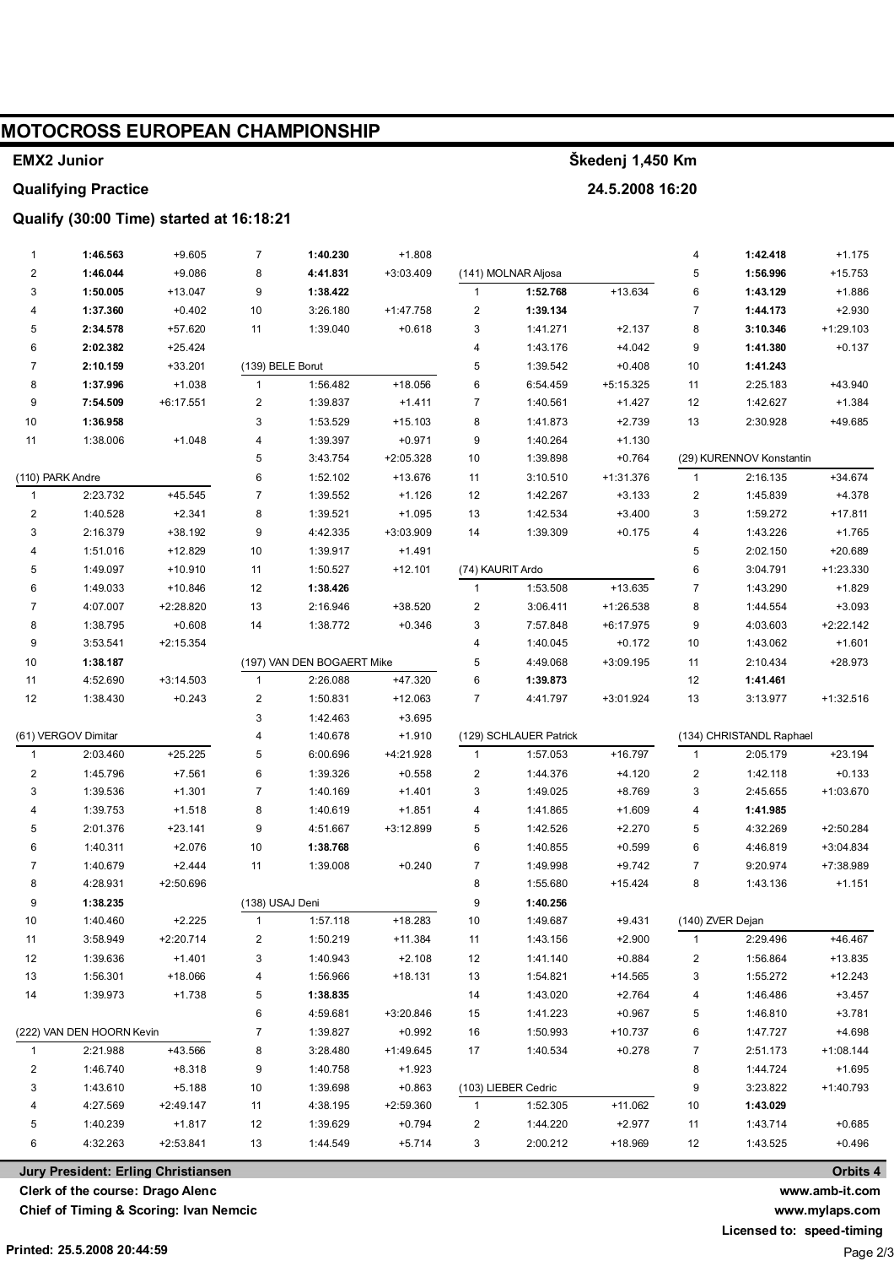## **MOTOCROSS EUROPEAN CHAMPIONSHIP**

#### **EMX2 Junior**

### **Qualifying Practice**

### Qualify (30:00 Time) started at 16:18:21

| $\mathbf{1}$              | 1:46.563 | $+9.605$                            | $\overline{7}$          | 1:40.230                   | $+1.808$    |                         |                        |             | 4              | 1:42.418                 | $+1.175$    |
|---------------------------|----------|-------------------------------------|-------------------------|----------------------------|-------------|-------------------------|------------------------|-------------|----------------|--------------------------|-------------|
| $\overline{\mathbf{c}}$   | 1:46.044 | $+9.086$                            | 8                       | 4:41.831                   | +3:03.409   |                         | (141) MOLNAR Aljosa    |             | 5              | 1:56.996                 | $+15.753$   |
| 3                         | 1:50.005 | $+13.047$                           | 9                       | 1:38.422                   |             | $\mathbf{1}$            | 1:52.768               | $+13.634$   | 6              | 1:43.129                 | $+1.886$    |
| 4                         | 1:37.360 | $+0.402$                            | 10                      | 3:26.180                   | $+1:47.758$ | $\overline{\mathbf{c}}$ | 1:39.134               |             | $\overline{7}$ | 1:44.173                 | $+2.930$    |
| 5                         | 2:34.578 | $+57.620$                           | 11                      | 1:39.040                   | $+0.618$    | 3                       | 1:41.271               | $+2.137$    | 8              | 3:10.346                 | $+1:29.103$ |
| 6                         | 2:02.382 | $+25.424$                           |                         |                            |             | 4                       | 1:43.176               | $+4.042$    | 9              | 1:41.380                 | $+0.137$    |
| $\overline{7}$            | 2:10.159 | $+33.201$                           | (139) BELE Borut        |                            |             | 5                       | 1:39.542               | $+0.408$    | 10             | 1:41.243                 |             |
| 8                         | 1:37.996 | $+1.038$                            | $\mathbf{1}$            | 1:56.482                   | $+18.056$   | 6                       | 6:54.459               | $+5:15.325$ | 11             | 2:25.183                 | +43.940     |
| 9                         | 7:54.509 | +6:17.551                           | $\overline{\mathbf{c}}$ | 1:39.837                   | $+1.411$    | $\overline{7}$          | 1:40.561               | $+1.427$    | 12             | 1:42.627                 | $+1.384$    |
| 10                        | 1:36.958 |                                     | 3                       | 1:53.529                   | $+15.103$   | 8                       | 1:41.873               | $+2.739$    | 13             | 2:30.928                 | +49.685     |
| 11                        | 1:38.006 | $+1.048$                            | 4                       | 1:39.397                   | $+0.971$    | 9                       | 1:40.264               | $+1.130$    |                |                          |             |
|                           |          |                                     | 5                       | 3:43.754                   | +2:05.328   | 10                      | 1:39.898               | $+0.764$    |                | (29) KURENNOV Konstantin |             |
| (110) PARK Andre          |          |                                     | 6                       | 1:52.102                   | +13.676     | 11                      | 3:10.510               | $+1:31.376$ | $\mathbf{1}$   | 2:16.135                 | $+34.674$   |
| $\mathbf{1}$              | 2:23.732 | $+45.545$                           | $\overline{7}$          | 1:39.552                   | $+1.126$    | 12                      | 1:42.267               | $+3.133$    | $\overline{c}$ | 1:45.839                 | $+4.378$    |
| $\overline{\mathbf{c}}$   | 1:40.528 | $+2.341$                            | 8                       | 1:39.521                   | $+1.095$    | 13                      | 1:42.534               | $+3.400$    | 3              | 1:59.272                 | $+17.811$   |
| 3                         | 2:16.379 | $+38.192$                           | 9                       | 4:42.335                   | +3:03.909   | 14                      | 1:39.309               | $+0.175$    | 4              | 1:43.226                 | $+1.765$    |
| 4                         | 1:51.016 | $+12.829$                           | 10                      | 1:39.917                   | $+1.491$    |                         |                        |             | 5              | 2:02.150                 | +20.689     |
| 5                         | 1:49.097 | $+10.910$                           | 11                      | 1:50.527                   | $+12.101$   | (74) KAURIT Ardo        |                        |             | 6              | 3:04.791                 | +1:23.330   |
| 6                         | 1:49.033 | $+10.846$                           | 12                      | 1:38.426                   |             | $\mathbf{1}$            | 1:53.508               | +13.635     | $\overline{7}$ | 1:43.290                 | $+1.829$    |
| $\overline{7}$            | 4:07.007 | +2:28.820                           | 13                      | 2:16.946                   | +38.520     | $\overline{\mathbf{c}}$ | 3:06.411               | $+1:26.538$ | 8              | 1:44.554                 | $+3.093$    |
| 8                         | 1:38.795 | $+0.608$                            | 14                      | 1:38.772                   | $+0.346$    | 3                       | 7:57.848               | $+6:17.975$ | 9              | 4:03.603                 | $+2:22.142$ |
| 9                         | 3:53.541 | $+2:15.354$                         |                         |                            |             | 4                       | 1:40.045               | $+0.172$    | 10             | 1:43.062                 | $+1.601$    |
| 10                        | 1:38.187 |                                     |                         | (197) VAN DEN BOGAERT Mike |             | 5                       | 4:49.068               | $+3:09.195$ | 11             | 2:10.434                 | +28.973     |
| 11                        | 4:52.690 | $+3:14.503$                         | $\mathbf{1}$            | 2:26.088                   | $+47.320$   | 6                       | 1:39.873               |             | 12             | 1:41.461                 |             |
| 12                        | 1:38.430 | $+0.243$                            | $\overline{\mathbf{c}}$ | 1:50.831                   | $+12.063$   | $\overline{7}$          | 4:41.797               | +3:01.924   | 13             | 3:13.977                 | $+1:32.516$ |
|                           |          |                                     | 3                       | 1:42.463                   | $+3.695$    |                         |                        |             |                |                          |             |
| (61) VERGOV Dimitar       |          |                                     | 4                       | 1:40.678                   | $+1.910$    |                         | (129) SCHLAUER Patrick |             |                | (134) CHRISTANDL Raphael |             |
| $\mathbf{1}$              | 2:03.460 | $+25.225$                           | 5                       | 6:00.696                   | +4:21.928   | $\mathbf{1}$            | 1:57.053               | $+16.797$   | $\mathbf{1}$   | 2:05.179                 | $+23.194$   |
| 2                         | 1:45.796 | $+7.561$                            | 6                       | 1:39.326                   | $+0.558$    | $\overline{\mathbf{c}}$ | 1:44.376               | $+4.120$    | $\overline{c}$ | 1:42.118                 | $+0.133$    |
| 3                         | 1:39.536 | $+1.301$                            | $\overline{7}$          | 1:40.169                   | $+1.401$    | 3                       | 1:49.025               | $+8.769$    | 3              | 2:45.655                 | +1:03.670   |
| 4                         | 1:39.753 | $+1.518$                            | 8                       | 1:40.619                   | $+1.851$    | 4                       | 1:41.865               | $+1.609$    | 4              | 1:41.985                 |             |
| 5                         | 2:01.376 | $+23.141$                           | 9                       | 4:51.667                   | +3:12.899   | 5                       | 1:42.526               | $+2.270$    | 5              | 4:32.269                 | +2:50.284   |
| 6                         | 1:40.311 | $+2.076$                            | 10                      | 1:38.768                   |             | 6                       | 1:40.855               | $+0.599$    | 6              | 4:46.819                 | +3:04.834   |
| $\overline{7}$            | 1:40.679 | $+2.444$                            | 11                      | 1:39.008                   | $+0.240$    | $\overline{7}$          | 1:49.998               | $+9.742$    | $\overline{7}$ | 9:20.974                 | +7:38.989   |
| 8                         | 4:28.931 | +2:50.696                           |                         |                            |             | 8                       | 1:55.680               | $+15.424$   | 8              | 1:43.136                 | $+1.151$    |
| 9                         | 1:38.235 |                                     | (138) USAJ Deni         |                            |             | 9                       | 1:40.256               |             |                |                          |             |
| 10                        | 1:40.460 | $+2.225$                            | 1                       | 1:57.118                   | $+18.283$   | 10                      | 1:49.687               | $+9.431$    |                | (140) ZVER Dejan         |             |
| 11                        | 3:58.949 | $+2:20.714$                         | 2                       | 1:50.219                   | +11.384     | 11                      | 1:43.156               | $+2.900$    | $\mathbf{1}$   | 2:29.496                 | $+46.467$   |
| 12                        | 1:39.636 | $+1.401$                            | 3                       | 1:40.943                   | $+2.108$    | 12                      | 1:41.140               | $+0.884$    | 2              | 1:56.864                 | $+13.835$   |
| 13                        | 1:56.301 | +18.066                             | 4                       | 1:56.966                   | $+18.131$   | 13                      | 1:54.821               | +14.565     | 3              | 1:55.272                 | $+12.243$   |
| 14                        | 1:39.973 | $+1.738$                            | 5                       | 1:38.835                   |             | 14                      | 1:43.020               | $+2.764$    | 4              | 1:46.486                 | $+3.457$    |
|                           |          |                                     | 6                       | 4:59.681                   | +3:20.846   | 15                      | 1:41.223               | $+0.967$    | 5              | 1:46.810                 | $+3.781$    |
| (222) VAN DEN HOORN Kevin |          |                                     | 7                       | 1:39.827                   | $+0.992$    | 16                      | 1:50.993               | $+10.737$   | 6              | 1:47.727                 | $+4.698$    |
| $\mathbf{1}$              | 2:21.988 | +43.566                             | 8                       | 3:28.480                   | $+1:49.645$ | 17                      | 1:40.534               | $+0.278$    | 7              | 2:51.173                 | $+1:08.144$ |
| 2                         | 1:46.740 | $+8.318$                            | 9                       | 1:40.758                   | $+1.923$    |                         |                        |             | 8              | 1:44.724                 | $+1.695$    |
| 3                         | 1:43.610 | $+5.188$                            | 10                      | 1:39.698                   | $+0.863$    |                         | (103) LIEBER Cedric    |             | 9              | 3:23.822                 | +1:40.793   |
| 4                         | 4:27.569 | +2:49.147                           | 11                      | 4:38.195                   | +2:59.360   | $\mathbf{1}$            | 1:52.305               | $+11.062$   | 10             | 1:43.029                 |             |
| 5                         | 1:40.239 | $+1.817$                            | 12                      | 1:39.629                   | $+0.794$    | 2                       | 1:44.220               | $+2.977$    | 11             | 1:43.714                 | $+0.685$    |
| 6                         | 4:32.263 | $+2:53.841$                         | 13                      | 1:44.549                   | $+5.714$    | 3                       | 2:00.212               | +18.969     | 12             | 1:43.525                 | $+0.496$    |
|                           |          | Jury President: Erling Christiansen |                         |                            |             |                         |                        |             |                |                          | Orbits 4    |

Jury President: Erling Christiansen

Clerk of the course: Drago Alenc

Chief of Timing & Scoring: Ivan Nemcic

www.mylaps.com Licensed to: speed-timing

www.amb-it.com

Page 2/3

# Škedenj 1,450 Km

24.5.2008 16:20